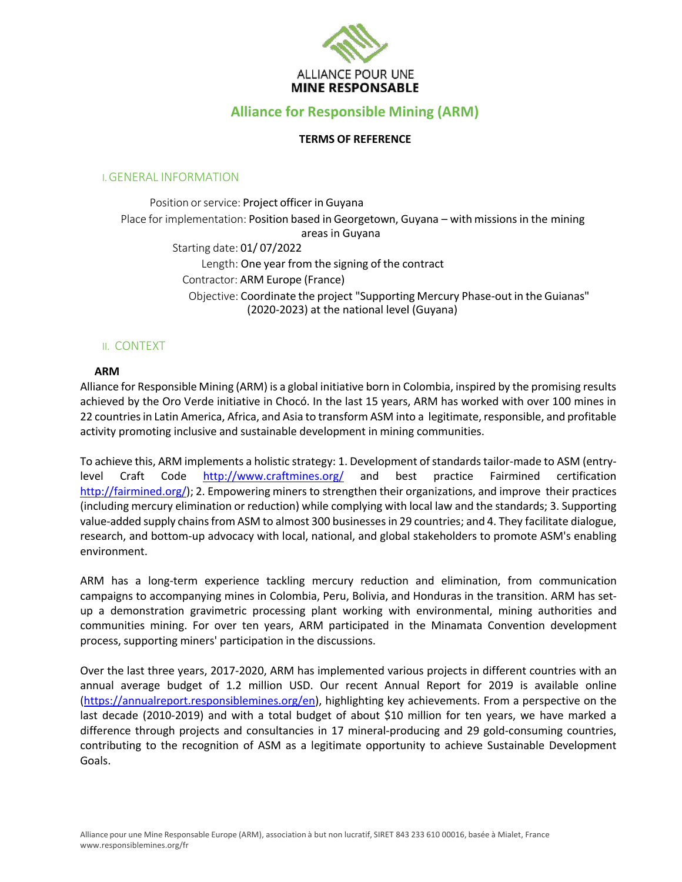

# **Alliance for Responsible Mining (ARM)**

### **TERMS OF REFERENCE**

#### I.GENERAL INFORMATION

Position or service: Project officer in Guyana Place for implementation: Position based in Georgetown, Guyana - with missions in the mining areas in Guyana Starting date: 01/ 07/2022 Length: One year from the signing of the contract Contractor: ARM Europe (France) Objective: Coordinate the project "Supporting Mercury Phase-out in the Guianas" (2020-2023) at the national level (Guyana)

## II. CONTEXT

### **ARM**

Alliance for Responsible Mining (ARM) is a global initiative born in Colombia, inspired by the promising results achieved by the Oro Verde initiative in Chocó. In the last 15 years, ARM has worked with over 100 mines in 22 countries in Latin America, Africa, and Asia to transform ASM into a legitimate, responsible, and profitable activity promoting inclusive and sustainable development in mining communities.

To achieve this, ARM implements a holistic strategy: 1. Development ofstandardstailor-made to ASM (entrylevel Craft Code http://www.craftmines.org/ and best practice Fairmined certification http://fairmined.org/); 2. Empowering miners to strengthen their organizations, and improve their practices (including mercury elimination or reduction) while complying with local law and the standards; 3. Supporting value-added supply chains from ASM to almost 300 businesses in 29 countries; and 4. They facilitate dialogue, research, and bottom-up advocacy with local, national, and global stakeholders to promote ASM's enabling environment.

ARM has a long-term experience tackling mercury reduction and elimination, from communication campaigns to accompanying mines in Colombia, Peru, Bolivia, and Honduras in the transition. ARM has setup a demonstration gravimetric processing plant working with environmental, mining authorities and communities mining. For over ten years, ARM participated in the Minamata Convention development process, supporting miners' participation in the discussions.

Over the last three years, 2017-2020, ARM has implemented various projects in different countries with an annual average budget of 1.2 million USD. Our recent Annual Report for 2019 is available online (https://annualreport.responsiblemines.org/en), highlighting key achievements. From a perspective on the last decade (2010-2019) and with a total budget of about \$10 million for ten years, we have marked a difference through projects and consultancies in 17 mineral-producing and 29 gold-consuming countries, contributing to the recognition of ASM as a legitimate opportunity to achieve Sustainable Development Goals.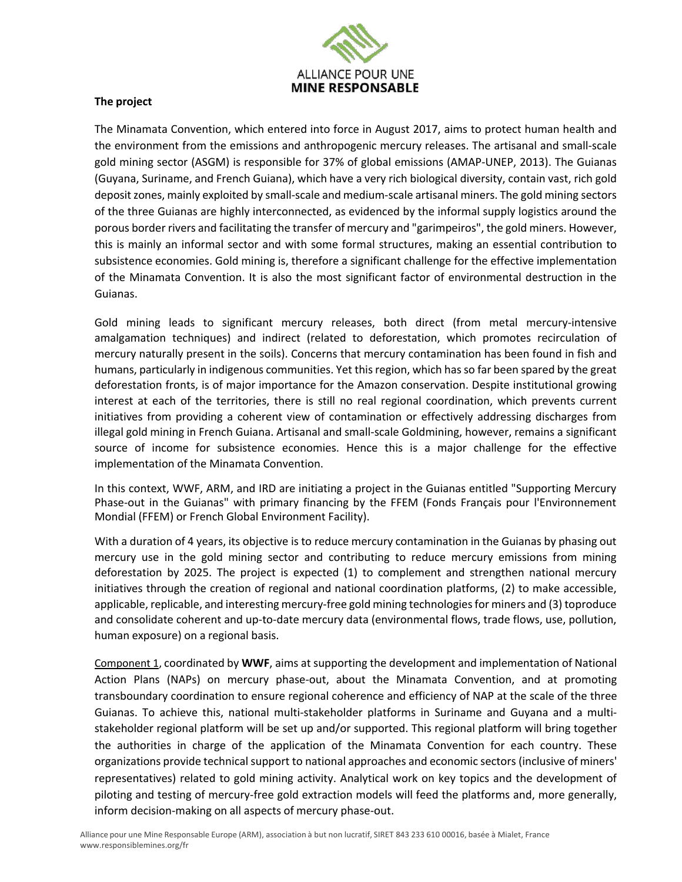

### **The project**

The Minamata Convention, which entered into force in August 2017, aims to protect human health and the environment from the emissions and anthropogenic mercury releases. The artisanal and small-scale gold mining sector (ASGM) is responsible for 37% of global emissions (AMAP-UNEP, 2013). The Guianas (Guyana, Suriname, and French Guiana), which have a very rich biological diversity, contain vast, rich gold deposit zones, mainly exploited by small-scale and medium-scale artisanal miners. The gold mining sectors of the three Guianas are highly interconnected, as evidenced by the informal supply logistics around the porous border rivers and facilitating the transfer of mercury and "garimpeiros", the gold miners. However, this is mainly an informal sector and with some formal structures, making an essential contribution to subsistence economies. Gold mining is, therefore a significant challenge for the effective implementation of the Minamata Convention. It is also the most significant factor of environmental destruction in the Guianas.

Gold mining leads to significant mercury releases, both direct (from metal mercury-intensive amalgamation techniques) and indirect (related to deforestation, which promotes recirculation of mercury naturally present in the soils). Concerns that mercury contamination has been found in fish and humans, particularly in indigenous communities. Yet thisregion, which hasso far been spared by the great deforestation fronts, is of major importance for the Amazon conservation. Despite institutional growing interest at each of the territories, there is still no real regional coordination, which prevents current initiatives from providing a coherent view of contamination or effectively addressing discharges from illegal gold mining in French Guiana. Artisanal and small-scale Goldmining, however, remains a significant source of income for subsistence economies. Hence this is a major challenge for the effective implementation of the Minamata Convention.

In this context, WWF, ARM, and IRD are initiating a project in the Guianas entitled "Supporting Mercury Phase-out in the Guianas" with primary financing by the FFEM (Fonds Français pour l'Environnement Mondial (FFEM) or French Global Environment Facility).

With a duration of 4 years, its objective is to reduce mercury contamination in the Guianas by phasing out mercury use in the gold mining sector and contributing to reduce mercury emissions from mining deforestation by 2025. The project is expected (1) to complement and strengthen national mercury initiatives through the creation of regional and national coordination platforms, (2) to make accessible, applicable, replicable, and interesting mercury-free gold mining technologiesfor miners and (3) toproduce and consolidate coherent and up-to-date mercury data (environmental flows, trade flows, use, pollution, human exposure) on a regional basis.

Component 1, coordinated by **WWF**, aims at supporting the development and implementation of National Action Plans (NAPs) on mercury phase-out, about the Minamata Convention, and at promoting transboundary coordination to ensure regional coherence and efficiency of NAP at the scale of the three Guianas. To achieve this, national multi-stakeholder platforms in Suriname and Guyana and a multistakeholder regional platform will be set up and/or supported. This regional platform will bring together the authorities in charge of the application of the Minamata Convention for each country. These organizations provide technical support to national approaches and economic sectors (inclusive of miners' representatives) related to gold mining activity. Analytical work on key topics and the development of piloting and testing of mercury-free gold extraction models will feed the platforms and, more generally, inform decision-making on all aspects of mercury phase-out.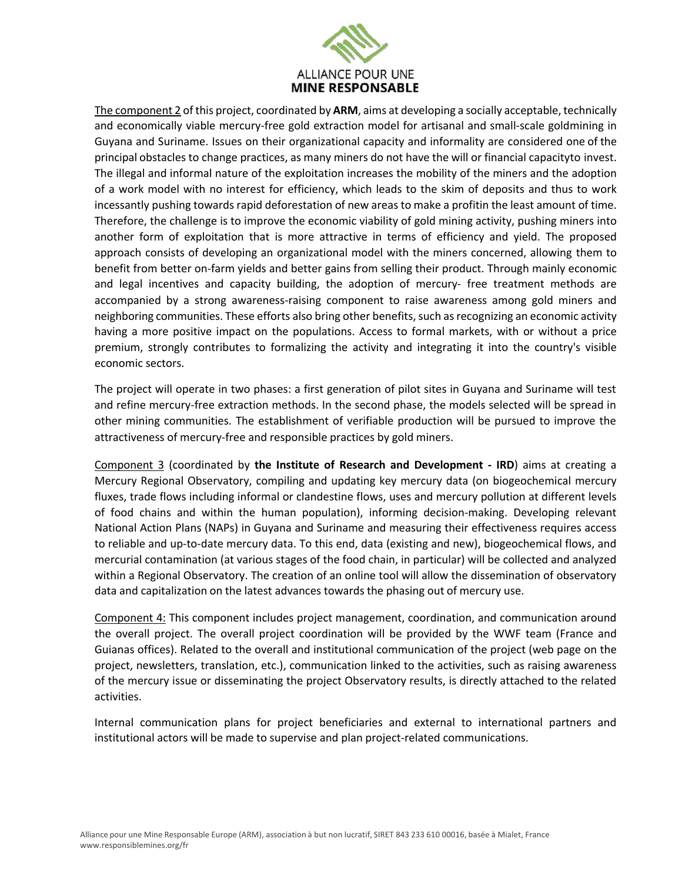

The component 2 of this project, coordinated by **ARM**, aims at developing a socially acceptable, technically and economically viable mercury-free gold extraction model for artisanal and small-scale goldmining in Guyana and Suriname. Issues on their organizational capacity and informality are considered one of the principal obstacles to change practices, as many miners do not have the will or financial capacityto invest. The illegal and informal nature of the exploitation increases the mobility of the miners and the adoption of a work model with no interest for efficiency, which leads to the skim of deposits and thus to work incessantly pushing towards rapid deforestation of new areas to make a profitin the least amount of time. Therefore, the challenge is to improve the economic viability of gold mining activity, pushing miners into another form of exploitation that is more attractive in terms of efficiency and yield. The proposed approach consists of developing an organizational model with the miners concerned, allowing them to benefit from better on-farm yields and better gains from selling their product. Through mainly economic and legal incentives and capacity building, the adoption of mercury- free treatment methods are accompanied by a strong awareness-raising component to raise awareness among gold miners and neighboring communities. These efforts also bring other benefits, such as recognizing an economic activity having a more positive impact on the populations. Access to formal markets, with or without a price premium, strongly contributes to formalizing the activity and integrating it into the country's visible economic sectors.

The project will operate in two phases: a first generation of pilot sites in Guyana and Suriname will test and refine mercury-free extraction methods. In the second phase, the models selected will be spread in other mining communities. The establishment of verifiable production will be pursued to improve the attractiveness of mercury-free and responsible practices by gold miners.

Component 3 (coordinated by **the Institute of Research and Development - IRD**) aims at creating a Mercury Regional Observatory, compiling and updating key mercury data (on biogeochemical mercury fluxes, trade flows including informal or clandestine flows, uses and mercury pollution at different levels of food chains and within the human population), informing decision-making. Developing relevant National Action Plans (NAPs) in Guyana and Suriname and measuring their effectiveness requires access to reliable and up-to-date mercury data. To this end, data (existing and new), biogeochemical flows, and mercurial contamination (at various stages of the food chain, in particular) will be collected and analyzed within a Regional Observatory. The creation of an online tool will allow the dissemination of observatory data and capitalization on the latest advances towards the phasing out of mercury use.

Component 4: This component includes project management, coordination, and communication around the overall project. The overall project coordination will be provided by the WWF team (France and Guianas offices). Related to the overall and institutional communication of the project (web page on the project, newsletters, translation, etc.), communication linked to the activities, such as raising awareness of the mercury issue or disseminating the project Observatory results, is directly attached to the related activities.

Internal communication plans for project beneficiaries and external to international partners and institutional actors will be made to supervise and plan project-related communications.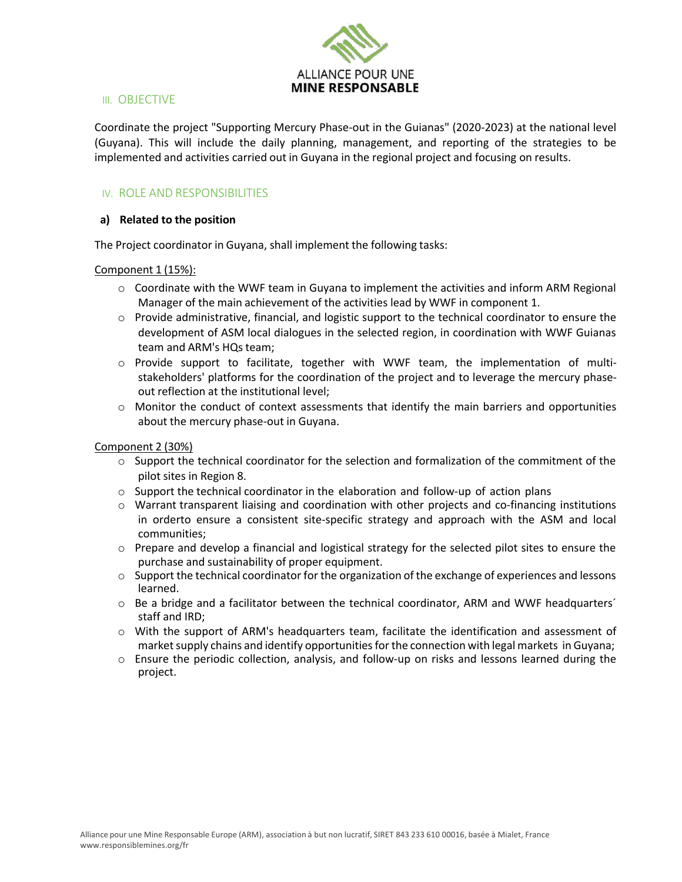

#### III. OBJECTIVE

Coordinate the project "Supporting Mercury Phase-out in the Guianas" (2020-2023) at the national level (Guyana). This will include the daily planning, management, and reporting of the strategies to be implemented and activities carried out in Guyana in the regional project and focusing on results.

## IV. ROLE AND RESPONSIBILITIES

#### **a) Related to the position**

The Project coordinator in Guyana, shall implement the following tasks:

Component 1 (15%):

- $\circ$  Coordinate with the WWF team in Guyana to implement the activities and inform ARM Regional Manager of the main achievement of the activities lead by WWF in component 1.
- o Provide administrative, financial, and logistic support to the technical coordinator to ensure the development of ASM local dialogues in the selected region, in coordination with WWF Guianas team and ARM's HQs team;
- $\circ$  Provide support to facilitate, together with WWF team, the implementation of multistakeholders' platforms for the coordination of the project and to leverage the mercury phaseout reflection at the institutional level;
- $\circ$  Monitor the conduct of context assessments that identify the main barriers and opportunities about the mercury phase-out in Guyana.

Component 2 (30%)

- $\circ$  Support the technical coordinator for the selection and formalization of the commitment of the pilot sites in Region 8.
- $\circ$  Support the technical coordinator in the elaboration and follow-up of action plans
- o Warrant transparent liaising and coordination with other projects and co-financing institutions in orderto ensure a consistent site-specific strategy and approach with the ASM and local communities;
- $\circ$  Prepare and develop a financial and logistical strategy for the selected pilot sites to ensure the purchase and sustainability of proper equipment.
- $\circ$  Support the technical coordinator for the organization of the exchange of experiences and lessons learned.
- $\circ$  Be a bridge and a facilitator between the technical coordinator, ARM and WWF headquarters' staff and IRD;
- $\circ$  With the support of ARM's headquarters team, facilitate the identification and assessment of market supply chains and identify opportunities for the connection with legal markets in Guyana;
- o Ensure the periodic collection, analysis, and follow-up on risks and lessons learned during the project.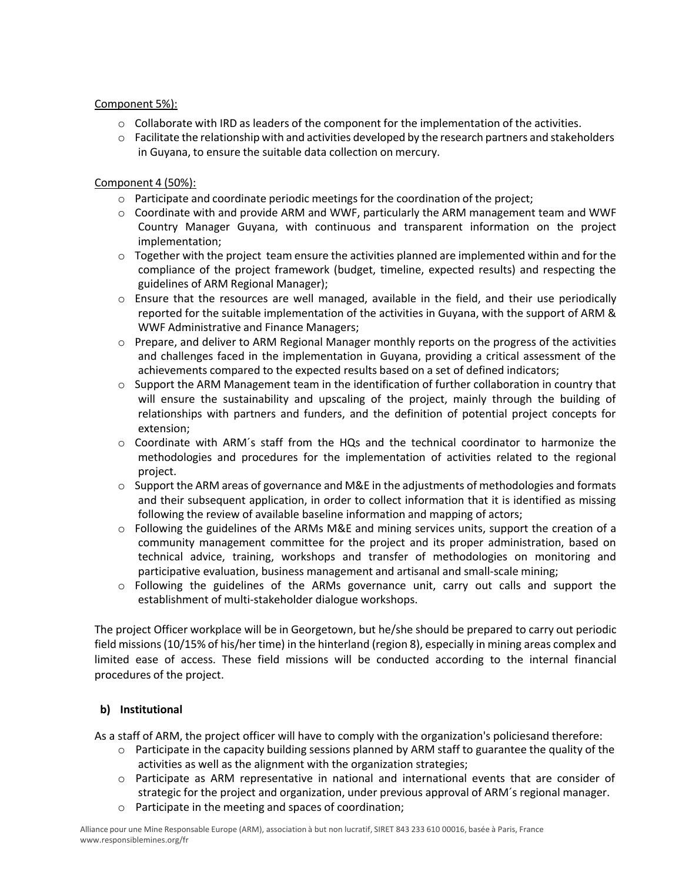### Component 5%):

- $\circ$  Collaborate with IRD as leaders of the component for the implementation of the activities.
- $\circ$  Facilitate the relationship with and activities developed by the research partners and stakeholders in Guyana, to ensure the suitable data collection on mercury.

### Component 4 (50%):

- $\circ$  Participate and coordinate periodic meetings for the coordination of the project;
- $\circ$  Coordinate with and provide ARM and WWF, particularly the ARM management team and WWF Country Manager Guyana, with continuous and transparent information on the project implementation;
- $\circ$  Together with the project team ensure the activities planned are implemented within and for the compliance of the project framework (budget, timeline, expected results) and respecting the guidelines of ARM Regional Manager);
- o Ensure that the resources are well managed, available in the field, and their use periodically reported for the suitable implementation of the activities in Guyana, with the support of ARM & WWF Administrative and Finance Managers;
- $\circ$  Prepare, and deliver to ARM Regional Manager monthly reports on the progress of the activities and challenges faced in the implementation in Guyana, providing a critical assessment of the achievements compared to the expected results based on a set of defined indicators;
- $\circ$  Support the ARM Management team in the identification of further collaboration in country that will ensure the sustainability and upscaling of the project, mainly through the building of relationships with partners and funders, and the definition of potential project concepts for extension;
- o Coordinate with ARM´s staff from the HQs and the technical coordinator to harmonize the methodologies and procedures for the implementation of activities related to the regional project.
- $\circ$  Support the ARM areas of governance and M&E in the adjustments of methodologies and formats and their subsequent application, in order to collect information that it is identified as missing following the review of available baseline information and mapping of actors;
- $\circ$  Following the guidelines of the ARMs M&E and mining services units, support the creation of a community management committee for the project and its proper administration, based on technical advice, training, workshops and transfer of methodologies on monitoring and participative evaluation, business management and artisanal and small-scale mining;
- o Following the guidelines of the ARMs governance unit, carry out calls and support the establishment of multi-stakeholder dialogue workshops.

The project Officer workplace will be in Georgetown, but he/she should be prepared to carry out periodic field missions(10/15% of his/her time) in the hinterland (region 8), especially in mining areas complex and limited ease of access. These field missions will be conducted according to the internal financial procedures of the project.

## **b) Institutional**

As a staff of ARM, the project officer will have to comply with the organization's policiesand therefore:

- $\circ$  Participate in the capacity building sessions planned by ARM staff to guarantee the quality of the activities as well as the alignment with the organization strategies;
- o Participate as ARM representative in national and international events that are consider of strategic for the project and organization, under previous approval of ARM´s regional manager.
- o Participate in the meeting and spaces of coordination;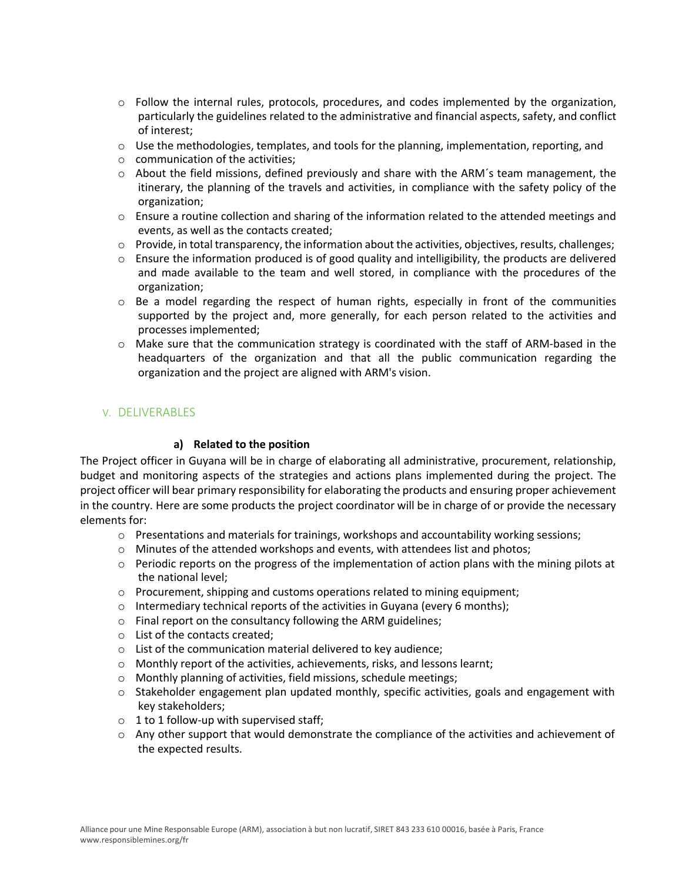- $\circ$  Follow the internal rules, protocols, procedures, and codes implemented by the organization, particularly the guidelines related to the administrative and financial aspects, safety, and conflict of interest;
- $\circ$  Use the methodologies, templates, and tools for the planning, implementation, reporting, and
- o communication of the activities;
- $\circ$  About the field missions, defined previously and share with the ARM's team management, the itinerary, the planning of the travels and activities, in compliance with the safety policy of the organization;
- $\circ$  Ensure a routine collection and sharing of the information related to the attended meetings and events, as well as the contacts created;
- o Provide, in total transparency, the information about the activities, objectives, results, challenges;
- $\circ$  Ensure the information produced is of good quality and intelligibility, the products are delivered and made available to the team and well stored, in compliance with the procedures of the organization;
- $\circ$  Be a model regarding the respect of human rights, especially in front of the communities supported by the project and, more generally, for each person related to the activities and processes implemented;
- $\circ$  Make sure that the communication strategy is coordinated with the staff of ARM-based in the headquarters of the organization and that all the public communication regarding the organization and the project are aligned with ARM's vision.

## V. DELIVERABLES

### **a) Related to the position**

The Project officer in Guyana will be in charge of elaborating all administrative, procurement, relationship, budget and monitoring aspects of the strategies and actions plans implemented during the project. The project officer will bear primary responsibility for elaborating the products and ensuring proper achievement in the country. Here are some products the project coordinator will be in charge of or provide the necessary elements for:

- $\circ$  Presentations and materials for trainings, workshops and accountability working sessions;
- $\circ$  Minutes of the attended workshops and events, with attendees list and photos;
- $\circ$  Periodic reports on the progress of the implementation of action plans with the mining pilots at the national level;
- $\circ$  Procurement, shipping and customs operations related to mining equipment;
- $\circ$  Intermediary technical reports of the activities in Guyana (every 6 months);
- o Final report on the consultancy following the ARM guidelines;
- o List of the contacts created;
- o List of the communication material delivered to key audience;
- o Monthly report of the activities, achievements, risks, and lessons learnt;
- o Monthly planning of activities, field missions, schedule meetings;
- $\circ$  Stakeholder engagement plan updated monthly, specific activities, goals and engagement with key stakeholders;
- $\circ$  1 to 1 follow-up with supervised staff;
- $\circ$  Any other support that would demonstrate the compliance of the activities and achievement of the expected results.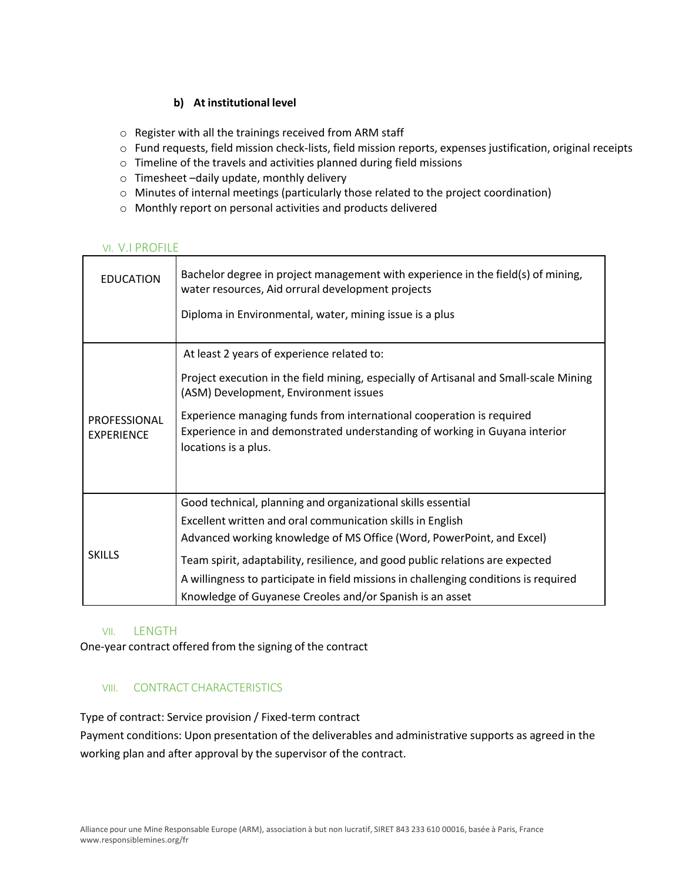## **b) At institutional level**

- o Register with all the trainings received from ARM staff
- o Fund requests, field mission check-lists, field mission reports, expenses justification, original receipts
- o Timeline of the travels and activities planned during field missions
- o Timesheet –daily update, monthly delivery
- o Minutes of internal meetings (particularly those related to the project coordination)
- o Monthly report on personal activities and products delivered

## VI. V.I PROFILE

| <b>EDUCATION</b>                  | Bachelor degree in project management with experience in the field(s) of mining,<br>water resources, Aid orrural development projects<br>Diploma in Environmental, water, mining issue is a plus |
|-----------------------------------|--------------------------------------------------------------------------------------------------------------------------------------------------------------------------------------------------|
|                                   |                                                                                                                                                                                                  |
|                                   | At least 2 years of experience related to:                                                                                                                                                       |
| PROFESSIONAL<br><b>EXPERIENCE</b> | Project execution in the field mining, especially of Artisanal and Small-scale Mining<br>(ASM) Development, Environment issues                                                                   |
|                                   | Experience managing funds from international cooperation is required<br>Experience in and demonstrated understanding of working in Guyana interior<br>locations is a plus.                       |
|                                   |                                                                                                                                                                                                  |
| <b>SKILLS</b>                     | Good technical, planning and organizational skills essential                                                                                                                                     |
|                                   | Excellent written and oral communication skills in English                                                                                                                                       |
|                                   | Advanced working knowledge of MS Office (Word, PowerPoint, and Excel)                                                                                                                            |
|                                   | Team spirit, adaptability, resilience, and good public relations are expected                                                                                                                    |
|                                   | A willingness to participate in field missions in challenging conditions is required                                                                                                             |
|                                   | Knowledge of Guyanese Creoles and/or Spanish is an asset                                                                                                                                         |

## VII. LENGTH

One-year contract offered from the signing of the contract

## VIII. CONTRACT CHARACTERISTICS

Type of contract: Service provision / Fixed-term contract

Payment conditions: Upon presentation of the deliverables and administrative supports as agreed in the working plan and after approval by the supervisor of the contract.